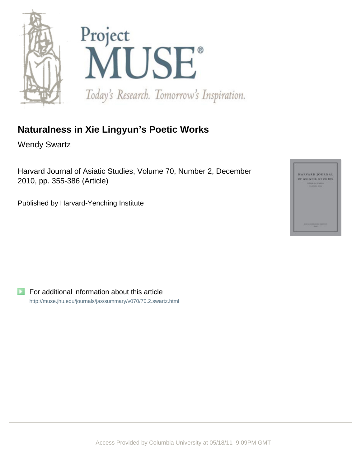



# **Naturalness in Xie Lingyun's Poetic Works**

Wendy Swartz

Harvard Journal of Asiatic Studies, Volume 70, Number 2, December 2010, pp. 355-386 (Article)

Published by Harvard-Yenching Institute





For additional information about this article <http://muse.jhu.edu/journals/jas/summary/v070/70.2.swartz.html>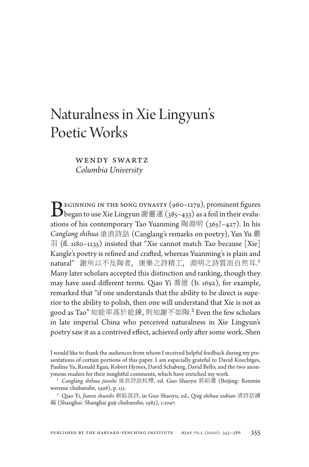# Naturalness in Xie Lingyun's Poetic Works

#### WENDY SWARTZ *Columbia University*

**B** EGINNING IN THE SONG DYNASTY (960–1279), prominent figures<br>began to use Xie Lingyun 謝靈運 (385–433) as a foil in their evalu-<br>stions of his contemporary Too Vanning 陶淵明 (0662, 407). In his ations of his contemporary Tao Yuanming 陶淵明  $(365<sup>2</sup>–427)$ . In his *Canglang shihua* 滄浪詩話 (Canglang's remarks on poetry), Yan Yu 嚴  $\mathbb{R}$  (fl. 1180–1235) insisted that "Xie cannot match Tao because [Xie] Kangle's poetry is refined and crafted, whereas Yuanming's is plain and natural" 謝所以不及陶者, 康樂之詩精工, 淵明之詩質而自然耳.1 Many later scholars accepted this distinction and ranking, though they may have used different terms. Qiao Yi 喬億 (b. 1692), for example, remarked that "if one understands that the ability to be direct is superior to the ability to polish, then one will understand that Xie is not as good as Tao" 知能率高於能鍊, 則知謝不如陶.2 Even the few scholars in late imperial China who perceived naturalness in Xie Lingyun's poetry saw it as a contrived effect, achieved only after some work. Shen

I would like to thank the audiences from whom I received helpful feedback during my presentations of certain portions of this paper. I am especially grateful to David Knechtges, Pauline Yu, Ronald Egan, Robert Hymes, David Schaberg, David Bello, and the two anonymous readers for their insightful comments, which have enriched my work.<br><sup>1</sup> *Canglang shihua jiaoshi* 滄浪詩話校釋, ed. Guo Shaoyu 郭紹虞 (Beijing: Renmin

wenxue chubanshe, 1998), p. 151.

<sup>2</sup> Qiao Yi, *Jianxi shuoshi* 劍谿說詩, in Guo Shaoyu, ed., *Qing shihua xubian* 清詩話續 編 (Shanghai: Shanghai guji chubanshe, 1983), 1:1097.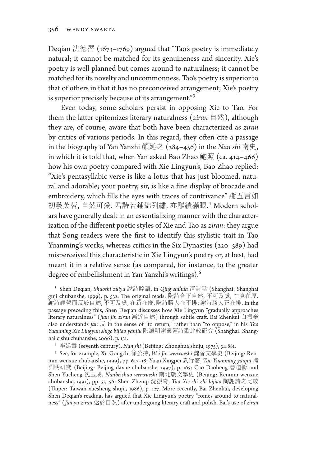Deqian 沈德潛 (1673–1769) argued that "Tao's poetry is immediately natural; it cannot be matched for its genuineness and sincerity. Xie's poetry is well planned but comes around to naturalness; it cannot be matched for its novelty and uncommonness. Tao's poetry is superior to that of others in that it has no preconceived arrangement; Xie's poetry is superior precisely because of its arrangement."<sup>3</sup>

Even today, some scholars persist in opposing Xie to Tao. For them the latter epitomizes literary naturalness (*ziran* 自然), although they are, of course, aware that both have been characterized as *ziran* by critics of various periods. In this regard, they often cite a passage in the biography of Yan Yanzhi 顏延之 (384–456) in the *Nan shi* 南史, in which it is told that, when Yan asked Bao Zhao 鮑照 (ca. 414–466) how his own poetry compared with Xie Lingyun's, Bao Zhao replied: "Xie's pentasyllabic verse is like a lotus that has just bloomed, natural and adorable; your poetry, sir, is like a fine display of brocade and embroidery, which fills the eyes with traces of contrivance" 謝五言如 初發芙蓉, 自然可愛. 君詩若鋪錦列繡, 亦雕繢滿眼.4 Modern scholars have generally dealt in an essentializing manner with the characterization of the different poetic styles of Xie and Tao as *ziran*: they argue that Song readers were the first to identify this stylistic trait in Tao Yuanming's works, whereas critics in the Six Dynasties (220-589) had misperceived this characteristic in Xie Lingyun's poetry or, at best, had meant it in a relative sense (as compared, for instance, to the greater degree of embellishment in Yan Yanzhi's writings).<sup>5</sup>

<sup>3</sup> Shen Deqian, *Shuoshi zuiyu* 說詩晬語, in *Qing shihua* 清詩話 (Shanghai: Shanghai guji chubanshe, 1999), p. 532. The original reads: 陶詩合下自然, 不可及處, 在真在厚. 謝詩經營而反於自然, 不可及處, 在新在俊. 陶詩勝人在不排; 謝詩勝人正在排. In the passage preceding this, Shen Deqian discusses how Xie Lingyun "gradually approaches literary naturalness" (*jian jin ziran* 漸近自然) through subtle craft. Bai Zhenkui 白振奎 also understands *fan* 反 in the sense of "to return," rather than "to oppose," in his *Tao Yuanming Xie Lingyun shige bijiao yanjiu* 陶淵明謝靈運詩歌比較研究 (Shanghai: Shanghai cishu chubanshe, 2006), p. 131.

<sup>4</sup> 李延壽 (seventh century), *Nan shi* (Beijing: Zhonghua shuju, 1975), 34.881.

<sup>5</sup> See, for example, Xu Gongchi 徐公持, *Wei Jin wenxueshi* 魏晉文學史 (Beijing: Renmin wenxue chubanshe, 1999), pp. 617–18; Yuan Xingpei 袁行霈, *Tao Yuanming yanjiu* 陶 淵明研究 (Beijing: Beijing daxue chubanshe, 1997), p. 165; Cao Daoheng 曹道衡 and Shen Yucheng 沈玉成, *Nanbeichao wenxueshi* 南北朝文學史 (Beijing: Renmin wenxue chubanshe, 1991), pp. 55–56; Shen Zhenqi 沈振奇, *Tao Xie shi zhi bijiao* 陶謝詩之比較 (Taipei: Taiwan xuesheng shuju, 1986), p. 127. More recently, Bai Zhenkui, developing Shen Deqian's reading, has argued that Xie Lingyun's poetry "comes around to naturalness" (*fan yu ziran* 返於自然) after undergoing literary craft and polish. Bai's use of *ziran*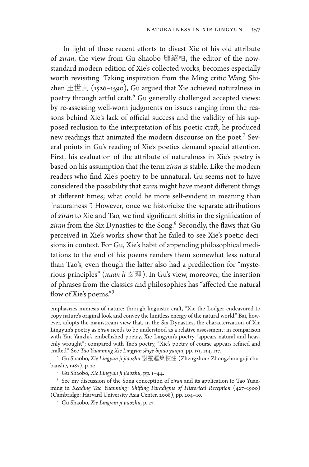In light of these recent efforts to divest Xie of his old attribute of *ziran*, the view from Gu Shaobo 顧紹柏, the editor of the nowstandard modern edition of Xie's collected works, becomes especially worth revisiting. Taking inspiration from the Ming critic Wang Shizhen 王世貞 (1526–1590), Gu argued that Xie achieved naturalness in poetry through artful craft.<sup>6</sup> Gu generally challenged accepted views: by re-assessing well-worn judgments on issues ranging from the reasons behind Xie's lack of official success and the validity of his supposed reclusion to the interpretation of his poetic craft, he produced new readings that animated the modern discourse on the poet.<sup>7</sup> Several points in Gu's reading of Xie's poetics demand special attention. First, his evaluation of the attribute of naturalness in Xie's poetry is based on his assumption that the term *ziran* is stable. Like the modern readers who find Xie's poetry to be unnatural, Gu seems not to have considered the possibility that *ziran* might have meant different things at different times; what could be more self-evident in meaning than "naturalness"? However, once we historicize the separate attributions of *ziran* to Xie and Tao, we find significant shifts in the signification of *ziran* from the Six Dynasties to the Song.8 Secondly, the flaws that Gu perceived in Xie's works show that he failed to see Xie's poetic decisions in context. For Gu, Xie's habit of appending philosophical meditations to the end of his poems renders them somewhat less natural than Tao's, even though the latter also had a predilection for "mysterious principles" (*xuan li* 玄理). In Gu's view, moreover, the insertion of phrases from the classics and philosophies has "affected the natural flow of Xie's poems."9

emphasizes mimesis of nature: through linguistic craft, "Xie the Lodger endeavored to copy nature's original look and convey the limitless energy of the natural world." Bai, however, adopts the mainstream view that, in the Six Dynasties, the characterization of Xie Lingyun's poetry as *ziran* needs to be understood as a relative assessment: in comparison with Yan Yanzhi's embellished poetry, Xie Lingyun's poetry "appears natural and heavenly wrought"; compared with Tao's poetry, "Xie's poetry of course appears refined and crafted." See *Tao Yuanming Xie Lingyun shige bijiao yanjiu*, pp. 131, 134, 137.

<sup>6</sup> Gu Shaobo, *Xie Lingyun ji jiaozhu* 謝靈運集校注 (Zhengzhou: Zhongzhou guji chubanshe, 1987), p. 22.

<sup>7</sup> Gu Shaobo, *Xie Lingyun ji jiaozhu*, pp. 1–44.

<sup>8</sup> See my discussion of the Song conception of *ziran* and its application to Tao Yuanming in *Reading Tao Yuanming: Shifting Paradigms of Historical Reception* (427–1900) (Cambridge: Harvard University Asia Center, 2008), pp. 204–10.

<sup>9</sup> Gu Shaobo, *Xie Lingyun ji jiaozhu*, p. 27.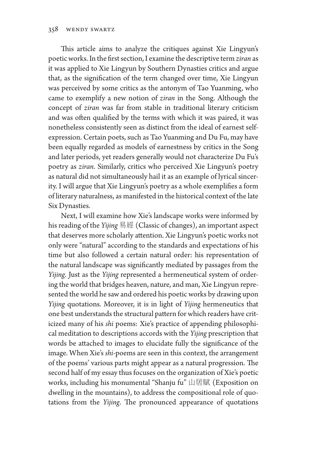This article aims to analyze the critiques against Xie Lingyun's poetic works. In the first section, I examine the descriptive term *ziran* as it was applied to Xie Lingyun by Southern Dynasties critics and argue that, as the signification of the term changed over time, Xie Lingyun was perceived by some critics as the antonym of Tao Yuanming, who came to exemplify a new notion of *ziran* in the Song. Although the concept of *ziran* was far from stable in traditional literary criticism and was often qualified by the terms with which it was paired, it was nonetheless consistently seen as distinct from the ideal of earnest selfexpression. Certain poets, such as Tao Yuanming and Du Fu, may have been equally regarded as models of earnestness by critics in the Song and later periods, yet readers generally would not characterize Du Fu's poetry as *ziran*. Similarly, critics who perceived Xie Lingyun's poetry as natural did not simultaneously hail it as an example of lyrical sincerity. I will argue that Xie Lingyun's poetry as a whole exemplifies a form of literary naturalness, as manifested in the historical context of the late Six Dynasties.

Next, I will examine how Xie's landscape works were informed by his reading of the *Yijing* 易經 (Classic of changes), an important aspect that deserves more scholarly attention. Xie Lingyun's poetic works not only were "natural" according to the standards and expectations of his time but also followed a certain natural order: his representation of the natural landscape was significantly mediated by passages from the *Yijing*. Just as the *Yijing* represented a hermeneutical system of ordering the world that bridges heaven, nature, and man, Xie Lingyun represented the world he saw and ordered his poetic works by drawing upon *Yijing* quotations. Moreover, it is in light of *Yijing* hermeneutics that one best understands the structural pattern for which readers have criticized many of his *shi* poems: Xie's practice of appending philosophical meditation to descriptions accords with the *Yijing* prescription that words be attached to images to elucidate fully the significance of the image. When Xie's *shi*-poems are seen in this context, the arrangement of the poems' various parts might appear as a natural progression. The second half of my essay thus focuses on the organization of Xie's poetic works, including his monumental "Shanju fu" 山居賦 (Exposition on dwelling in the mountains), to address the compositional role of quotations from the *Yijing*. The pronounced appearance of quotations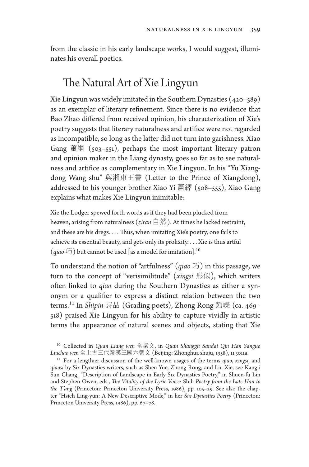from the classic in his early landscape works, I would suggest, illuminates his overall poetics.

#### The Natural Art of Xie Lingyun

Xie Lingyun was widely imitated in the Southern Dynasties (420–589) as an exemplar of literary refinement. Since there is no evidence that Bao Zhao differed from received opinion, his characterization of Xie's poetry suggests that literary naturalness and artifice were not regarded as incompatible, so long as the latter did not turn into garishness. Xiao Gang 蕭綱 (503–551), perhaps the most important literary patron and opinion maker in the Liang dynasty, goes so far as to see naturalness and artifice as complementary in Xie Lingyun. In his "Yu Xiangdong Wang shu" 與湘東王書 (Letter to the Prince of Xiangdong), addressed to his younger brother Xiao Yi 蕭繹 (508–555), Xiao Gang explains what makes Xie Lingyun inimitable:

Xie the Lodger spewed forth words as if they had been plucked from heaven, arising from naturalness (*ziran* 自然). At times he lacked restraint, and these are his dregs. . . . Thus, when imitating Xie's poetry, one fails to achieve its essential beauty, and gets only its prolixity. . . . Xie is thus artful  $(qiao \mathcal{F}_1)$  but cannot be used [as a model for imitation].<sup>10</sup>

To understand the notion of "artfulness" (*qiao* 巧) in this passage, we turn to the concept of "verisimilitude" (*xingsi* 形似), which writers often linked to *qiao* during the Southern Dynasties as either a synonym or a qualifier to express a distinct relation between the two terms.11 In *Shipin* 詩品 (Grading poets), Zhong Rong 鍾嶸 (ca. 469– 518) praised Xie Lingyun for his ability to capture vividly in artistic terms the appearance of natural scenes and objects, stating that Xie

<sup>10</sup> Collected in *Quan Liang wen* 全梁文, in *Quan Shanggu Sandai Qin Han Sanguo Liuchao wen* 全上古三代秦漢三國六朝文 (Beijing: Zhonghua shuju, 1958), 11.3011a. 11 For a lengthier discussion of the well-known usages of the terms *qiao*, *xingsi*, and

*qiaosi* by Six Dynasties writers, such as Shen Yue, Zhong Rong, and Liu Xie, see Kang-i Sun Chang, "Description of Landscape in Early Six Dynasties Poetry," in Shuen-fu Lin and Stephen Owen, eds., *The Vitality of the Lyric Voice:* Shih *Poetry from the Late Han to the T'ang* (Princeton: Princeton University Press, 1986), pp. 105–29. See also the chapter "Hsieh Ling-yün: A New Descriptive Mode," in her *Six Dynasties Poetry* (Princeton: Princeton University Press, 1986), pp. 67–78.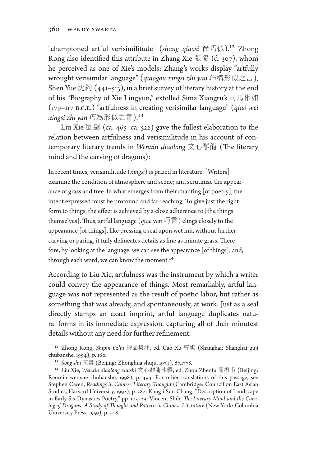"championed artful verisimilitude" (*shang qiaosi* 尚巧似).12 Zhong Rong also identified this attribute in Zhang Xie  $\mathbb{R}$   $\sharp\sharp$   $\sharp$  (d. 307), whom he perceived as one of Xie's models; Zhang's works display "artfully wrought verisimilar language" (*qiaogou xingsi zhi yan* 巧構形似之言). Shen Yue 沈約 (441–513), in a brief survey of literary history at the end of his "Biography of Xie Lingyun," extolled Sima Xiangru's 司馬相如 (179–117 B.C.E.) "artfulness in creating verisimilar language" (*qiao wei xingsi zhi yan* 巧為形似之言).13

Liu Xie 劉勰 (ca. 465–ca. 522) gave the fullest elaboration to the relation between artfulness and verisimilitude in his account of contemporary literary trends in *Wenxin diaolong* 文心雕龍 (The literary mind and the carving of dragons):

In recent times, verisimilitude (*xingsi*) is prized in literature. [Writers] examine the condition of atmosphere and scene; and scrutinize the appearance of grass and tree. In what emerges from their chanting [of poetry], the intent expressed must be profound and far-reaching. To give just the right form to things, the effect is achieved by a close adherence to [the things themselves]. Thus, artful language (*qiao yan* 巧言) clings closely to the appearance [of things], like pressing a seal upon wet ink, without further carving or paring, it fully delineates details as fine as minute grass. Therefore, by looking at the language, we can see the appearance [of things]; and, through each word, we can know the moment.<sup>14</sup>

According to Liu Xie, artfulness was the instrument by which a writer could convey the appearance of things. Most remarkably, artful language was not represented as the result of poetic labor, but rather as something that was already, and spontaneously, at work. Just as a seal directly stamps an exact imprint, artful language duplicates natural forms in its immediate expression, capturing all of their minutest details without any need for further refinement.

<sup>12</sup> Zhong Rong, *Shipin jizhu* 詩品集注, ed. Cao Xu 曹旭 (Shanghai: Shanghai guji chubanshe, 1994), p. 160.

<sup>13</sup> *Song shu* 宋書 (Beijing: Zhonghua shuju, 1974), 67.1778.

<sup>14</sup> Liu Xie, *Wenxin diaolong zhushi* 文心雕龍注釋, ed. Zhou Zhenfu 周振甫 (Beijing: Renmin wenxue chubanshe, 1998), p. 494. For other translations of this passage, see Stephen Owen, *Readings in Chinese Literary Thought* (Cambridge: Council on East Asian Studies, Harvard University, 1992), p. 282; Kang-i Sun Chang, "Description of Landscape in Early Six Dynasties Poetry," pp. 105–29; Vincent Shih, *The Literary Mind and the Carving of Dragons: A Study of Thought and Pattern in Chinese Literature* (New York: Columbia University Press, 1959), p. 248.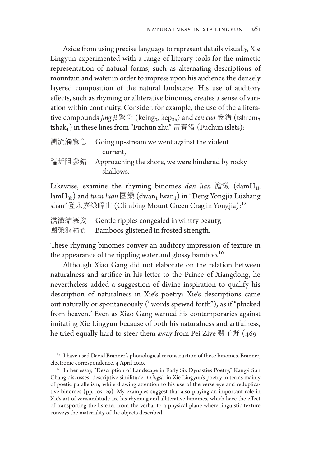Aside from using precise language to represent details visually, Xie Lingyun experimented with a range of literary tools for the mimetic representation of natural forms, such as alternating descriptions of mountain and water in order to impress upon his audience the densely layered composition of the natural landscape. His use of auditory effects, such as rhyming or alliterative binomes, creates a sense of variation within continuity. Consider, for example, the use of the alliterative compounds *jing ji* 驚急 (keing<sub>3a</sub> kep<sub>3b</sub>) and *cen cuo* 參錯 (tshrem<sub>3</sub>) tshak<sub>1</sub>) in these lines from "Fuchun zhu" 富春渚 (Fuchun islets):

| 溯流觸驚急 | Going up-stream we went against the violent                   |
|-------|---------------------------------------------------------------|
|       | current,                                                      |
| 臨圻阻參錯 | Approaching the shore, we were hindered by rocky<br>shallows. |
|       |                                                               |

Likewise, examine the rhyming binomes *dan lian* 澹瀲 (damH<sub>1b</sub>) lamH<sub>3b</sub>) and *tuan luan* 團欒 (dwan<sub>1</sub> lwan<sub>1</sub>) in "Deng Yongjia Lüzhang shan" 登永嘉綠嶂山 (Climbing Mount Green Crag in Yongjia):15

|       | 澹瀲結寒姿 Gentle ripples congealed in wintry beauty, |
|-------|--------------------------------------------------|
| 團欒潤霜質 | Bamboos glistened in frosted strength.           |

These rhyming binomes convey an auditory impression of texture in the appearance of the rippling water and glossy bamboo.<sup>16</sup>

Although Xiao Gang did not elaborate on the relation between naturalness and artifice in his letter to the Prince of Xiangdong, he nevertheless added a suggestion of divine inspiration to qualify his description of naturalness in Xie's poetry: Xie's descriptions came out naturally or spontaneously ("words spewed forth"), as if "plucked from heaven." Even as Xiao Gang warned his contemporaries against imitating Xie Lingyun because of both his naturalness and artfulness, he tried equally hard to steer them away from Pei Ziye 裴子野 (469–

<sup>&</sup>lt;sup>15</sup> I have used David Branner's phonological reconstruction of these binomes. Branner, electronic correspondence, 4 April 2010.

<sup>&</sup>lt;sup>16</sup> In her essay, "Description of Landscape in Early Six Dynasties Poetry," Kang-i Sun Chang discusses "descriptive similitude" (*xingsi*) in Xie Lingyun's poetry in terms mainly of poetic parallelism, while drawing attention to his use of the verse eye and reduplicative binomes (pp. 105–29). My examples suggest that also playing an important role in Xie's art of verisimilitude are his rhyming and alliterative binomes, which have the effect of transporting the listener from the verbal to a physical plane where linguistic texture conveys the materiality of the objects described.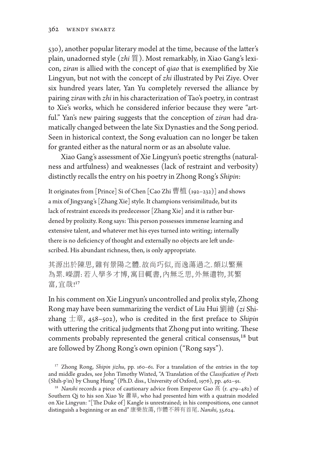530), another popular literary model at the time, because of the latter's plain, unadorned style (*zhi* 質). Most remarkably, in Xiao Gang's lexicon, *ziran* is allied with the concept of *qiao* that is exemplified by Xie Lingyun, but not with the concept of *zhi* illustrated by Pei Ziye. Over six hundred years later, Yan Yu completely reversed the alliance by pairing *ziran* with *zhi* in his characterization of Tao's poetry, in contrast to Xie's works, which he considered inferior because they were "artful." Yan's new pairing suggests that the conception of *ziran* had dramatically changed between the late Six Dynasties and the Song period. Seen in historical context, the Song evaluation can no longer be taken for granted either as the natural norm or as an absolute value.

Xiao Gang's assessment of Xie Lingyun's poetic strengths (naturalness and artfulness) and weaknesses (lack of restraint and verbosity) distinctly recalls the entry on his poetry in Zhong Rong's *Shipin*:

It originates from [Prince] Si of Chen [Cao Zhi 曹植 (192–232)] and shows a mix of Jingyang's [Zhang Xie] style. It champions verisimilitude, but its lack of restraint exceeds its predecessor [Zhang Xie] and it is rather burdened by prolixity. Rong says: This person possesses immense learning and extensive talent, and whatever met his eyes turned into writing; internally there is no deficiency of thought and externally no objects are left undescribed. His abundant richness, then, is only appropriate.

其源出於陳思, 雜有景陽之體. 故尚巧似, 而逸蕩過之. 頗以繁蕪 為累. 嶸謂: 若人學多才博, 寓目輒書, 內無乏思, 外無遺物, 其繁 富, 宜哉!17

In his comment on Xie Lingyun's uncontrolled and prolix style, Zhong Rong may have been summarizing the verdict of Liu Hui 劉繪 (*zi* Shizhang 士章, 458–502), who is credited in the first preface to *Shipin* with uttering the critical judgments that Zhong put into writing. These comments probably represented the general critical consensus,<sup>18</sup> but are followed by Zhong Rong's own opinion ("Rong says").

<sup>&</sup>lt;sup>17</sup> Zhong Rong, *Shipin jizhu*, pp. 160-61. For a translation of the entries in the top and middle grades, see John Timothy Wixted, "A Translation of the *Classification of Poets* (Shih-p'in) by Chung Hung" (Ph.D. diss., University of Oxford, 1976), pp. 462–91.

<sup>&</sup>lt;sup>18</sup> *Nanshi* records a piece of cautionary advice from Emperor Gao 高 (r. 479-482) of Southern Qi to his son Xiao Ye 蕭曅, who had presented him with a quatrain modeled on Xie Lingyun: "[The Duke of] Kangle is unrestrained; in his compositions, one cannot distinguish a beginning or an end" 康樂放蕩, 作體不辨有首尾. *Nanshi*, 35.624.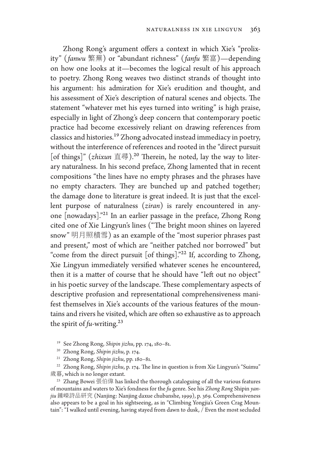Zhong Rong's argument offers a context in which Xie's "prolixity" (*fanwu* 繁蕪) or "abundant richness" (*fanfu* 繁富)—depending on how one looks at it—becomes the logical result of his approach to poetry. Zhong Rong weaves two distinct strands of thought into his argument: his admiration for Xie's erudition and thought, and his assessment of Xie's description of natural scenes and objects. The statement "whatever met his eyes turned into writing" is high praise, especially in light of Zhong's deep concern that contemporary poetic practice had become excessively reliant on drawing references from classics and histories.19 Zhong advocated instead immediacy in poetry, without the interference of references and rooted in the "direct pursuit [of things]" (zhixun 直尋).<sup>20</sup> Therein, he noted, lay the way to literary naturalness. In his second preface, Zhong lamented that in recent compositions "the lines have no empty phrases and the phrases have no empty characters. They are bunched up and patched together; the damage done to literature is great indeed. It is just that the excellent purpose of naturalness (*ziran*) is rarely encountered in anyone [nowadays]."21 In an earlier passage in the preface, Zhong Rong cited one of Xie Lingyun's lines ("The bright moon shines on layered snow" 明月照積雪) as an example of the "most superior phrases past and present," most of which are "neither patched nor borrowed" but "come from the direct pursuit [of things]."22 If, according to Zhong, Xie Lingyun immediately versified whatever scenes he encountered, then it is a matter of course that he should have "left out no object" in his poetic survey of the landscape. These complementary aspects of descriptive profusion and representational comprehensiveness manifest themselves in Xie's accounts of the various features of the mountains and rivers he visited, which are often so exhaustive as to approach the spirit of  $\mu$ -writing.<sup>23</sup>

- <sup>19</sup> See Zhong Rong, *Shipin jizhu*, pp. 174, 180–81.
- <sup>20</sup> Zhong Rong, *Shipin jizhu*, p. 174.
- 

<sup>21</sup> Zhong Rong, *Shipin jizhu*, pp. 180–81. 22 Zhong Rong, *Shipin jizhu*, p. 174. The line in question is from Xie Lingyun's "Suimu" 歲暮, which is no longer extant.

 $23$  Zhang Bowei 張伯偉 has linked the thorough cataloguing of all the various features of mountains and waters to Xie's fondness for the *fu* genre. See his *Zhong Rong* Shipin *yanjiu* 鍾嶸詩品研究 (Nanjing: Nanjing daxue chubanshe, 1999), p. 369. Comprehensiveness also appears to be a goal in his sightseeing, as in "Climbing Yongjia's Green Crag Mountain": "I walked until evening, having stayed from dawn to dusk, / Even the most secluded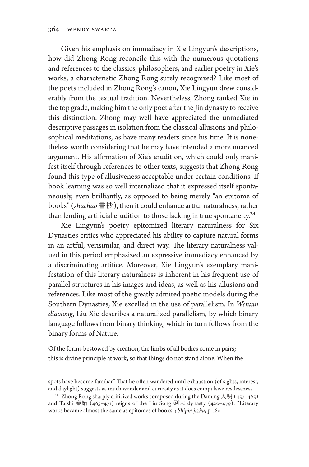Given his emphasis on immediacy in Xie Lingyun's descriptions, how did Zhong Rong reconcile this with the numerous quotations and references to the classics, philosophers, and earlier poetry in Xie's works, a characteristic Zhong Rong surely recognized? Like most of the poets included in Zhong Rong's canon, Xie Lingyun drew considerably from the textual tradition. Nevertheless, Zhong ranked Xie in the top grade, making him the only poet after the Jin dynasty to receive this distinction. Zhong may well have appreciated the unmediated descriptive passages in isolation from the classical allusions and philosophical meditations, as have many readers since his time. It is nonetheless worth considering that he may have intended a more nuanced argument. His affirmation of Xie's erudition, which could only manifest itself through references to other texts, suggests that Zhong Rong found this type of allusiveness acceptable under certain conditions. If book learning was so well internalized that it expressed itself spontaneously, even brilliantly, as opposed to being merely "an epitome of books" (*shuchao* 書抄), then it could enhance artful naturalness, rather than lending artificial erudition to those lacking in true spontaneity.<sup>24</sup>

Xie Lingyun's poetry epitomized literary naturalness for Six Dynasties critics who appreciated his ability to capture natural forms in an artful, verisimilar, and direct way. The literary naturalness valued in this period emphasized an expressive immediacy enhanced by a discriminating artifice. Moreover, Xie Lingyun's exemplary manifestation of this literary naturalness is inherent in his frequent use of parallel structures in his images and ideas, as well as his allusions and references. Like most of the greatly admired poetic models during the Southern Dynasties, Xie excelled in the use of parallelism. In *Wenxin diaolong*, Liu Xie describes a naturalized parallelism, by which binary language follows from binary thinking, which in turn follows from the binary forms of Nature.

Of the forms bestowed by creation, the limbs of all bodies come in pairs; this is divine principle at work, so that things do not stand alone. When the

spots have become familiar." That he often wandered until exhaustion (of sights, interest, and daylight) suggests as much wonder and curiosity as it does compulsive restlessness.

<sup>&</sup>lt;sup>24</sup> Zhong Rong sharply criticized works composed during the Daming  $\pm \mathfrak{H}$  (457–465) and Taishi 泰始 (465–471) reigns of the Liu Song 劉宋 dynasty (420–479): "Literary works became almost the same as epitomes of books"; *Shipin jizhu*, p. 180.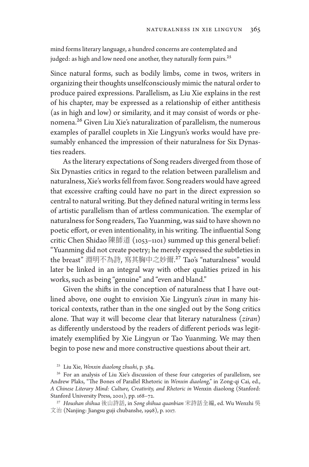mind forms literary language, a hundred concerns are contemplated and judged: as high and low need one another, they naturally form pairs.<sup>25</sup>

Since natural forms, such as bodily limbs, come in twos, writers in organizing their thoughts unselfconsciously mimic the natural order to produce paired expressions. Parallelism, as Liu Xie explains in the rest of his chapter, may be expressed as a relationship of either antithesis (as in high and low) or similarity, and it may consist of words or phenomena.26 Given Liu Xie's naturalization of parallelism, the numerous examples of parallel couplets in Xie Lingyun's works would have presumably enhanced the impression of their naturalness for Six Dynasties readers.

As the literary expectations of Song readers diverged from those of Six Dynasties critics in regard to the relation between parallelism and naturalness, Xie's works fell from favor. Song readers would have agreed that excessive crafting could have no part in the direct expression so central to natural writing. But they defined natural writing in terms less of artistic parallelism than of artless communication. The exemplar of naturalness for Song readers, Tao Yuanming, was said to have shown no poetic effort, or even intentionality, in his writing. The influential Song critic Chen Shidao 陳師道 (1053–1101) summed up this general belief: "Yuanming did not create poetry; he merely expressed the subtleties in the breast" 淵明不為詩, 寫其胸中之妙爾.<sup>27</sup> Tao's "naturalness" would later be linked in an integral way with other qualities prized in his works, such as being "genuine" and "even and bland."

Given the shifts in the conception of naturalness that I have outlined above, one ought to envision Xie Lingyun's *ziran* in many historical contexts, rather than in the one singled out by the Song critics alone. That way it will become clear that literary naturalness (*ziran*) as differently understood by the readers of different periods was legitimately exemplified by Xie Lingyun or Tao Yuanming. We may then begin to pose new and more constructive questions about their art.

<sup>27</sup> *Houshan shihua* 後山詩話, in *Song shihua quanbian* 宋詩話全編, ed. Wu Wenzhi 吳  $\overline{\chi}$   $\overline{\hat{H}}$  (Nanjing: Jiangsu guji chubanshe, 1998), p. 1017.

<sup>&</sup>lt;sup>25</sup> Liu Xie, *Wenxin diaolong zhushi*, p. 384.<br><sup>26</sup> For an analysis of Liu Xie's discussion of these four categories of parallelism, see Andrew Plaks, "The Bones of Parallel Rhetoric in *Wenxin diaolong*," in Zong-qi Cai, ed., *A Chinese Literary Mind: Culture, Creativity, and Rhetoric in* Wenxin diaolong (Stanford: Stanford University Press, 2001), pp. 168–72.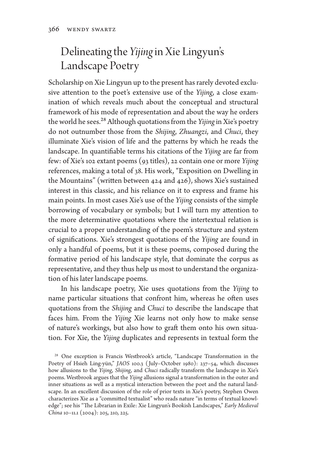## Delineating the *Yijing* in Xie Lingyun's Landscape Poetry

Scholarship on Xie Lingyun up to the present has rarely devoted exclusive attention to the poet's extensive use of the *Yijing*, a close examination of which reveals much about the conceptual and structural framework of his mode of representation and about the way he orders the world he sees.28 Although quotations from the *Yijing* in Xie's poetry do not outnumber those from the *Shijing*, *Zhuangzi*, and *Chuci*, they illuminate Xie's vision of life and the patterns by which he reads the landscape. In quantifiable terms his citations of the *Yijing* are far from few: of Xie's 102 extant poems (93 titles), 22 contain one or more *Yijing* references, making a total of 38. His work, "Exposition on Dwelling in the Mountains" (written between 424 and 426), shows Xie's sustained interest in this classic, and his reliance on it to express and frame his main points. In most cases Xie's use of the *Yijing* consists of the simple borrowing of vocabulary or symbols; but I will turn my attention to the more determinative quotations where the intertextual relation is crucial to a proper understanding of the poem's structure and system of significations. Xie's strongest quotations of the *Yijing* are found in only a handful of poems, but it is these poems, composed during the formative period of his landscape style, that dominate the corpus as representative, and they thus help us most to understand the organization of his later landscape poems.

In his landscape poetry, Xie uses quotations from the *Yijing* to name particular situations that confront him, whereas he often uses quotations from the *Shijing* and *Chuci* to describe the landscape that faces him. From the *Yijing* Xie learns not only how to make sense of nature's workings, but also how to graft them onto his own situation. For Xie, the *Yijing* duplicates and represents in textual form the

<sup>28</sup> One exception is Francis Westbrook's article, "Landscape Transformation in the Poetry of Hsieh Ling-yün," *JAOS* 100.3 (July-October 1980): 237-54, which discusses how allusions to the *Yijing*, *Shijing*, and *Chuci* radically transform the landscape in Xie's poems. Westbrook argues that the *Yijing* allusions signal a transformation in the outer and inner situations as well as a mystical interaction between the poet and the natural landscape. In an excellent discussion of the role of prior texts in Xie's poetry, Stephen Owen characterizes Xie as a "committed textualist" who reads nature "in terms of textual knowledge"; see his "The Librarian in Exile: Xie Lingyun's Bookish Landscapes," *Early Medieval China* 10–11.1 (2004): 205, 210, 225.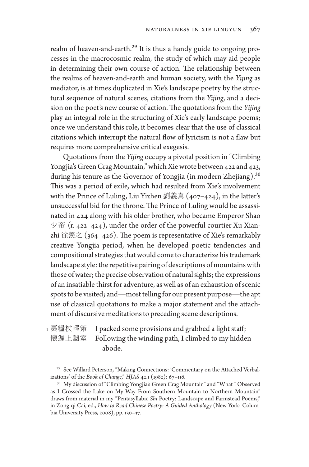realm of heaven-and-earth.<sup>29</sup> It is thus a handy guide to ongoing processes in the macrocosmic realm, the study of which may aid people in determining their own course of action. The relationship between the realms of heaven-and-earth and human society, with the *Yijing* as mediator, is at times duplicated in Xie's landscape poetry by the structural sequence of natural scenes, citations from the *Yijing*, and a decision on the poet's new course of action. The quotations from the *Yijing* play an integral role in the structuring of Xie's early landscape poems; once we understand this role, it becomes clear that the use of classical citations which interrupt the natural flow of lyricism is not a flaw but requires more comprehensive critical exegesis.

Quotations from the *Yijing* occupy a pivotal position in "Climbing Yongjia's Green Crag Mountain," which Xie wrote between 422 and 423, during his tenure as the Governor of Yongjia (in modern Zhejiang).<sup>30</sup> This was a period of exile, which had resulted from Xie's involvement with the Prince of Luling, Liu Yizhen 劉義真 (407-424), in the latter's unsuccessful bid for the throne. The Prince of Luling would be assassinated in 424 along with his older brother, who became Emperor Shao  $\mathcal{D} \hat{\pi}$  (r. 422–424), under the order of the powerful courtier Xu Xianzhi 徐羨之 (364–426). The poem is representative of Xie's remarkably creative Yongjia period, when he developed poetic tendencies and compositional strategies that would come to characterize his trademark landscape style: the repetitive pairing of descriptions of mountains with those of water; the precise observation of natural sights; the expressions of an insatiable thirst for adventure, as well as of an exhaustion of scenic spots to be visited; and—most telling for our present purpose—the apt use of classical quotations to make a major statement and the attachment of discursive meditations to preceding scene descriptions.

1 裹糧杖輕策 I packed some provisions and grabbed a light staff; 懷遲上幽室 Following the winding path, I climbed to my hidden abode.

<sup>29</sup> See Willard Peterson, "Making Connections: 'Commentary on the Attached Verbalizations' of the *Book of Change*," *HJAS* 42.1 (1982): 67–116.

<sup>30</sup> My discussion of "Climbing Yongjia's Green Crag Mountain" and "What I Observed as I Crossed the Lake on My Way From Southern Mountain to Northern Mountain" draws from material in my "Pentasyllabic *Shi* Poetry: Landscape and Farmstead Poems," in Zong-qi Cai, ed., *How to Read Chinese Poetry: A Guided Anthology* (New York: Columbia University Press, 2008), pp. 130–37.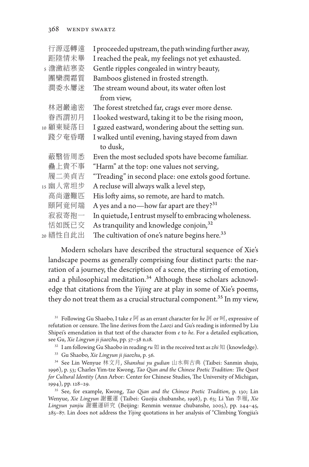| 行源逕轉遠    | I proceeded upstream, the path winding further away,       |
|----------|------------------------------------------------------------|
| 距陸情未畢    | I reached the peak, my feelings not yet exhausted.         |
| s 澹瀲結寒姿  | Gentle ripples congealed in wintry beauty,                 |
| 團欒潤霜質    | Bamboos glistened in frosted strength.                     |
| 澗委水屢迷    | The stream wound about, its water often lost               |
|          | from view,                                                 |
| 林迥巖逾密    | The forest stretched far, crags ever more dense.           |
| 眷西謂初月    | I looked westward, taking it to be the rising moon,        |
| 10 顧東疑落日 | I gazed eastward, wondering about the setting sun.         |
| 踐夕奄昏曙    | I walked until evening, having stayed from dawn            |
|          | to dusk,                                                   |
| 蔽翳皆周悉    | Even the most secluded spots have become familiar.         |
| 蠱上貴不事    | "Harm" at the top: one values not serving,                 |
| 履二美貞吉    | "Treading" in second place: one extols good fortune.       |
| 15 幽人常坦步 | A recluse will always walk a level step,                   |
| 高尚邈難匹    | His lofty aims, so remote, are hard to match.              |
| 頤阿竟何端    | A yes and a no-how far apart are they? <sup>31</sup>       |
| 寂寂寄抱一    | In quietude, I entrust myself to embracing wholeness.      |
| 恬如既已交    | As tranquility and knowledge conjoin, <sup>32</sup>        |
| 20 繕性自此出 | The cultivation of one's nature begins here. <sup>33</sup> |

Modern scholars have described the structural sequence of Xie's landscape poems as generally comprising four distinct parts: the narration of a journey, the description of a scene, the stirring of emotion, and a philosophical meditation.<sup>34</sup> Although these scholars acknowledge that citations from the *Yijing* are at play in some of Xie's poems, they do not treat them as a crucial structural component.<sup>35</sup> In my view,

<sup>31</sup> Following Gu Shaobo, I take  $e \overline{u}$  as an errant character for *he* 訶 or 呵, expressive of refutation or censure. The line derives from the *Laozi* and Gu's reading is informed by Liu Shipei's emendation in that text of the character from *e* to *he*. For a detailed explication, see Gu, *Xie Lingyun ji jiaozhu*, pp. 57–58 n.18.

<sup>32</sup> I am following Gu Shaobo in reading  $ru \sqrt[4]{u}$  in the received text as  $zhi \sqrt[4]{u}$  (knowledge).

<sup>33</sup> Gu Shaobo, *Xie Lingyun ji jiaozhu*, p. 56.

<sup>34</sup> See Lin Wenyue 林文月, *Shanshui yu gudian* 山水與古典 (Taibei: Sanmin shuju, 1996), p. 53; Charles Yim-tze Kwong, *Tao Qian and the Chinese Poetic Tradition: The Quest for Cultural Identity* (Ann Arbor: Center for Chinese Studies, The University of Michigan, 1994), pp. 128–29.

<sup>35</sup> See, for example, Kwong, *Tao Qian and the Chinese Poetic Tradition*, p. 130; Lin Wenyue, *Xie Lingyun* 謝靈運 (Taibei: Guojia chubanshe, 1998), p. 63; Li Yan 李雁, *Xie Lingyun yanjiu* 謝靈運研究 (Beijing: Renmin wenxue chubanshe, 2005), pp. 244–45, 285–87. Lin does not address the *Yijing* quotations in her analysis of "Climbing Yongjia's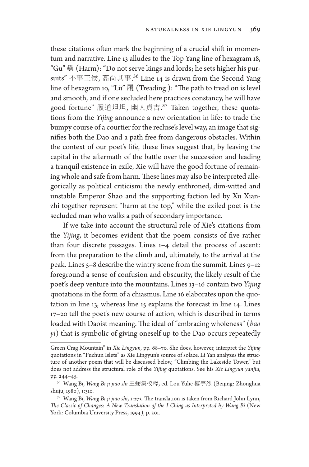these citations often mark the beginning of a crucial shift in momentum and narrative. Line 13 alludes to the Top Yang line of hexagram 18, "Gu" 蠱 (Harm): "Do not serve kings and lords; he sets higher his pursuits" 不事王侯, 高尚其事.36 Line 14 is drawn from the Second Yang line of hexagram 10, "Lü" 履 (Treading ): "The path to tread on is level and smooth, and if one secluded here practices constancy, he will have good fortune" 履道坦坦, 幽人貞吉.37 Taken together, these quotations from the *Yijing* announce a new orientation in life: to trade the bumpy course of a courtier for the recluse's level way, an image that signifies both the Dao and a path free from dangerous obstacles. Within the context of our poet's life, these lines suggest that, by leaving the capital in the aftermath of the battle over the succession and leading a tranquil existence in exile, Xie will have the good fortune of remaining whole and safe from harm. These lines may also be interpreted allegorically as political criticism: the newly enthroned, dim-witted and unstable Emperor Shao and the supporting faction led by Xu Xianzhi together represent "harm at the top," while the exiled poet is the secluded man who walks a path of secondary importance.

If we take into account the structural role of Xie's citations from the *Yijing*, it becomes evident that the poem consists of five rather than four discrete passages. Lines 1–4 detail the process of ascent: from the preparation to the climb and, ultimately, to the arrival at the peak. Lines 5–8 describe the wintry scene from the summit. Lines 9–12 foreground a sense of confusion and obscurity, the likely result of the poet's deep venture into the mountains. Lines 13–16 contain two *Yijing* quotations in the form of a chiasmus. Line 16 elaborates upon the quotation in line 13, whereas line 15 explains the forecast in line 14. Lines 17–20 tell the poet's new course of action, which is described in terms loaded with Daoist meaning. The ideal of "embracing wholeness" (*bao yi*) that is symbolic of giving oneself up to the Dao occurs repeatedly

Green Crag Mountain" in *Xie Lingyun*, pp. 68–70. She does, however, interpret the *Yijing* quotations in "Fuchun Islets" as Xie Lingyun's source of solace. Li Yan analyzes the structure of another poem that will be discussed below, "Climbing the Lakeside Tower," but does not address the structural role of the *Yijing* quotations. See his *Xie Lingyun yanjiu*, pp. 244–45.

<sup>36</sup> Wang Bi, *Wang Bi ji jiao shi* 王弼集校釋, ed. Lou Yulie 樓宇烈 (Beijing: Zhonghua shuju, 1980), 1:310. 37 Wang Bi, *Wang Bi ji jiao shi*, 1:273. The translation is taken from Richard John Lynn,

*The Classic of Changes: A New Translation of the I Ching as Interpreted by Wang Bi* (New York: Columbia University Press, 1994), p. 201.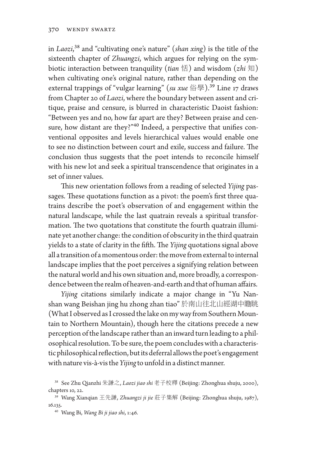in *Laozi*,38 and "cultivating one's nature" (*shan xing*) is the title of the sixteenth chapter of *Zhuangzi*, which argues for relying on the symbiotic interaction between tranquility (*tian* 恬) and wisdom (*zhi* 知) when cultivating one's original nature, rather than depending on the external trappings of "vulgar learning" (*su xue* 俗學).39 Line 17 draws from Chapter 20 of *Laozi*, where the boundary between assent and critique, praise and censure, is blurred in characteristic Daoist fashion: "Between yes and no, how far apart are they? Between praise and censure, how distant are they?"<sup>40</sup> Indeed, a perspective that unifies conventional opposites and levels hierarchical values would enable one to see no distinction between court and exile, success and failure. The conclusion thus suggests that the poet intends to reconcile himself with his new lot and seek a spiritual transcendence that originates in a set of inner values.

This new orientation follows from a reading of selected *Yijing* passages. These quotations function as a pivot: the poem's first three quatrains describe the poet's observation of and engagement within the natural landscape, while the last quatrain reveals a spiritual transformation. The two quotations that constitute the fourth quatrain illuminate yet another change: the condition of obscurity in the third quatrain yields to a state of clarity in the fifth. The *Yijing* quotations signal above all a transition of a momentous order: the move from external to internal landscape implies that the poet perceives a signifying relation between the natural world and his own situation and, more broadly, a correspondence between the realm of heaven-and-earth and that of human affairs.

*Yijing* citations similarly indicate a major change in "Yu Nanshan wang Beishan jing hu zhong zhan tiao" 於南山往北山經湖中瞻眺 (What I observed as I crossed the lake on my way from Southern Mountain to Northern Mountain), though here the citations precede a new perception of the landscape rather than an inward turn leading to a philosophical resolution. To be sure, the poem concludes with a characteristic philosophical reflection, but its deferral allows the poet's engagement with nature vis-à-vis the *Yijing* to unfold in a distinct manner.

<sup>38</sup> See Zhu Qianzhi 朱謙之, *Laozi jiao shi* 老子校釋 (Beijing: Zhonghua shuju, 2000), chapters 10, 22.

<sup>39</sup> Wang Xianqian 王先謙, *Zhuangzi ji jie* 莊子集解 (Beijing: Zhonghua shuju, 1987), 16.135. 40 Wang Bi, *Wang Bi ji jiao shi*, 1:46.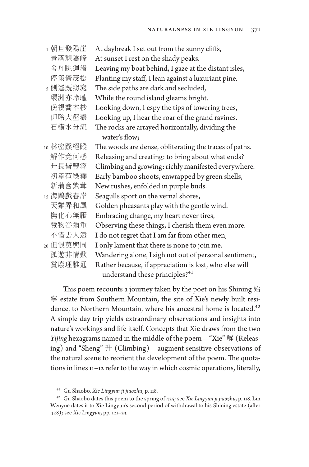| 1 朝旦發陽崖  | At daybreak I set out from the sunny cliffs,           |
|----------|--------------------------------------------------------|
| 景落憩陰峰    | At sunset I rest on the shady peaks.                   |
| 舍舟眺迴渚    | Leaving my boat behind, I gaze at the distant isles,   |
| 停策倚茂松    | Planting my staff, I lean against a luxuriant pine.    |
| s側逕既窈窕   | The side paths are dark and secluded,                  |
| 環洲亦玲瓏    | While the round island gleams bright.                  |
| 俛視喬木杪    | Looking down, I espy the tips of towering trees,       |
| 仰聆大壑灇    | Looking up, I hear the roar of the grand ravines.      |
| 石横水分流    | The rocks are arrayed horizontally, dividing the       |
|          | water's flow;                                          |
| 10 林密蹊絕蹤 | The woods are dense, obliterating the traces of paths. |
| 解作竟何感    | Releasing and creating: to bring about what ends?      |
| 升長皆豐容    | Climbing and growing: richly manifested everywhere.    |
| 初篁苞綠籜    | Early bamboo shoots, enwrapped by green shells,        |
| 新蒲含紫茸    | New rushes, enfolded in purple buds.                   |
| 15 海鷗戲春岸 | Seagulls sport on the vernal shores,                   |
| 天雞弄和風    | Golden pheasants play with the gentle wind.            |
| 撫化心無厭    | Embracing change, my heart never tires,                |
| 覽物眷彌重    | Observing these things, I cherish them even more.      |
| 不惜去人遠    | I do not regret that I am far from other men,          |
| 20 但恨莫與同 | I only lament that there is none to join me.           |
| 孤遊非情歎    | Wandering alone, I sigh not out of personal sentiment, |
| 賞廢理誰通    | Rather because, if appreciation is lost, who else will |
|          | understand these principles? <sup>41</sup>             |

This poem recounts a journey taken by the poet on his Shining  $#$ 寧 estate from Southern Mountain, the site of Xie's newly built residence, to Northern Mountain, where his ancestral home is located.<sup>42</sup> A simple day trip yields extraordinary observations and insights into nature's workings and life itself. Concepts that Xie draws from the two *Yijing* hexagrams named in the middle of the poem—"Xie" 解 (Releasing) and "Sheng" 升 (Climbing)—augment sensitive observations of the natural scene to reorient the development of the poem. The quotations in lines 11–12 refer to the way in which cosmic operations, literally,

<sup>41</sup> Gu Shaobo, *Xie Lingyun ji jiaozhu*, p. 118.

<sup>42</sup> Gu Shaobo dates this poem to the spring of 425; see *Xie Lingyun ji jiaozhu*, p. 118. Lin Wenyue dates it to Xie Lingyun's second period of withdrawal to his Shining estate (after 428); see *Xie Lingyun*, pp. 121–23.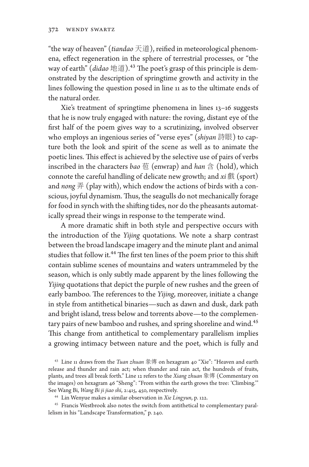"the way of heaven" (*tiandao* 天道), reified in meteorological phenomena, effect regeneration in the sphere of terrestrial processes, or "the way of earth" (*didao* 地道).<sup>43</sup> The poet's grasp of this principle is demonstrated by the description of springtime growth and activity in the lines following the question posed in line 11 as to the ultimate ends of the natural order.

Xie's treatment of springtime phenomena in lines 13–16 suggests that he is now truly engaged with nature: the roving, distant eye of the first half of the poem gives way to a scrutinizing, involved observer who employs an ingenious series of "verse eyes" (*shiyan* 詩眼) to capture both the look and spirit of the scene as well as to animate the poetic lines. This effect is achieved by the selective use of pairs of verbs inscribed in the characters *bao* 苞 (enwrap) and *han* 含 (hold), which connote the careful handling of delicate new growth; and *xi* 戲 (sport) and *nong* 弄 (play with), which endow the actions of birds with a conscious, joyful dynamism. Thus, the seagulls do not mechanically forage for food in synch with the shifting tides, nor do the pheasants automatically spread their wings in response to the temperate wind.

A more dramatic shift in both style and perspective occurs with the introduction of the *Yijing* quotations. We note a sharp contrast between the broad landscape imagery and the minute plant and animal studies that follow it.<sup>44</sup> The first ten lines of the poem prior to this shift contain sublime scenes of mountains and waters untrammeled by the season, which is only subtly made apparent by the lines following the *Yijing* quotations that depict the purple of new rushes and the green of early bamboo. The references to the *Yijing*, moreover, initiate a change in style from antithetical binaries—such as dawn and dusk, dark path and bright island, tress below and torrents above—to the complementary pairs of new bamboo and rushes, and spring shoreline and wind.<sup>45</sup> This change from antithetical to complementary parallelism implies a growing intimacy between nature and the poet, which is fully and

<sup>43</sup> Line 11 draws from the *Tuan zhuan* 彖傳 on hexagram 40 "Xie": "Heaven and earth release and thunder and rain act; when thunder and rain act, the hundreds of fruits, plants, and trees all break forth." Line 12 refers to the *Xiang zhuan* 象傳 (Commentary on the images) on hexagram 46 "Sheng": "From within the earth grows the tree: 'Climbing.'" See Wang Bi, *Wang Bi ji jiao shi*, 2:415, 450, respectively.

<sup>44</sup> Lin Wenyue makes a similar observation in *Xie Lingyun*, p. 122.

<sup>&</sup>lt;sup>45</sup> Francis Westbrook also notes the switch from antithetical to complementary parallelism in his "Landscape Transformation," p. 240.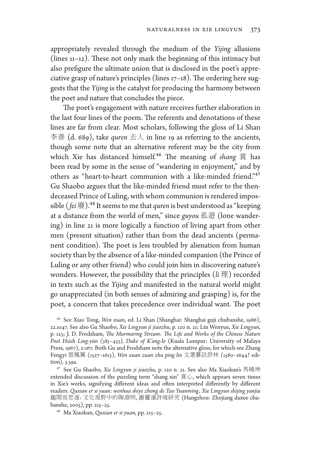appropriately revealed through the medium of the *Yijing* allusions (lines 11–12). These not only mark the beginning of this intimacy but also prefigure the ultimate union that is disclosed in the poet's appreciative grasp of nature's principles (lines 17–18). The ordering here suggests that the *Yijing* is the catalyst for producing the harmony between the poet and nature that concludes the piece.

The poet's engagement with nature receives further elaboration in the last four lines of the poem. The referents and denotations of these lines are far from clear. Most scholars, following the gloss of Li Shan 李善 (d. 689), take *quren* 去人 in line 19 as referring to the ancients, though some note that an alternative referent may be the city from which Xie has distanced himself.46 The meaning of *shang* 賞 has been read by some in the sense of "wandering in enjoyment," and by others as "heart-to-heart communion with a like-minded friend."<sup>47</sup> Gu Shaobo argues that the like-minded friend must refer to the thendeceased Prince of Luling, with whom communion is rendered impossible (*fei* 廢).48 It seems to me that *quren* is best understood as "keeping at a distance from the world of men," since *guyou* 孤遊 (lone wandering) in line 21 is more logically a function of living apart from other men (present situation) rather than from the dead ancients (permanent condition). The poet is less troubled by alienation from human society than by the absence of a like-minded companion (the Prince of Luling or any other friend) who could join him in discovering nature's wonders. However, the possibility that the principles (*li* 理) recorded in texts such as the *Yijing* and manifested in the natural world might go unappreciated (in both senses of admiring and grasping) is, for the poet, a concern that takes precedence over individual want. The poet

<sup>46</sup> See Xiao Tong, *Wen xuan*, ed. Li Shan (Shanghai: Shanghai guji chubanshe, 1986), 22.1047. See also Gu Shaobo, *Xie Lingyun ji jiaozhu*, p. 120 n. 21; Lin Wenyue, *Xie Lingyun*, p. 123; J. D. Frodsham, *The Murmuring Stream: The Life and Works of the Chinese Nature Poet Hsieh Ling-yün (385–433), Duke of K'ang-lo* (Kuala Lumpur: University of Malaya Press, 1967), 2:167. Both Gu and Frodsham note the alternative gloss, for which see Zhang Fengyi 張鳳翼 (1527–1613), *Wen xuan zuan zhu ping lin* 文選纂註評林 (1580–1644? edition), 5.39a.

<sup>47</sup> See Gu Shaobo, *Xie Lingyun ji jiaozhu*, p. 120 n. 21. See also Ma Xiaokun's 馬曉坤 extended discussion of the puzzling term "shang xin" 賞心, which appears seven times in Xie's works, signifying different ideas and often interpreted differently by different readers. *Quxian er si yuan: wenhua shiye zhong de Tao Yuanming, Xie Lingyun shijing yanjiu* 趣閑而思遠: 文化視野中的陶淵明, 謝靈運詩境研究 (Hangzhou: Zhejiang daxue chubanshe, 2005), pp. 215–25.

<sup>48</sup> Ma Xiaokun, *Quxian er si yuan*, pp. 215–25.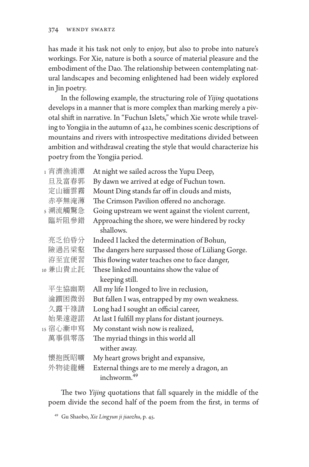has made it his task not only to enjoy, but also to probe into nature's workings. For Xie, nature is both a source of material pleasure and the embodiment of the Dao. The relationship between contemplating natural landscapes and becoming enlightened had been widely explored in Jin poetry.

In the following example, the structuring role of *Yijing* quotations develops in a manner that is more complex than marking merely a pivotal shift in narrative. In "Fuchun Islets," which Xie wrote while traveling to Yongjia in the autumn of 422, he combines scenic descriptions of mountains and rivers with introspective meditations divided between ambition and withdrawal creating the style that would characterize his poetry from the Yongjia period.

| 1 宵濟漁浦潭  | At night we sailed across the Yupu Deep,            |
|----------|-----------------------------------------------------|
| 旦及富春郭    | By dawn we arrived at edge of Fuchun town.          |
| 定山緬雲霧    | Mount Ding stands far off in clouds and mists,      |
| 赤亭無淹薄    | The Crimson Pavilion offered no anchorage.          |
| s 溯流觸驚急  | Going upstream we went against the violent current, |
| 臨圻阻參錯    | Approaching the shore, we were hindered by rocky    |
|          | shallows.                                           |
| 亮乏伯昏分    | Indeed I lacked the determination of Bohun,         |
| 險過呂梁壑    | The dangers here surpassed those of Lüliang Gorge.  |
| 洊至宜便習    | This flowing water teaches one to face danger,      |
| 10 兼山貴止託 | These linked mountains show the value of            |
|          | keeping still.                                      |
| 平生協幽期    | All my life I longed to live in reclusion,          |
| 淪躓困微弱    | But fallen I was, entrapped by my own weakness.     |
| 久露干祿請    | Long had I sought an official career,               |
| 始果遠遊諾    | At last I fulfill my plans for distant journeys.    |
| 15 宿心漸申寫 | My constant wish now is realized,                   |
| 萬事俱零落    | The myriad things in this world all                 |
|          | wither away.                                        |
| 懷抱既昭曠    | My heart grows bright and expansive,                |
| 外物徒龍蠖    | External things are to me merely a dragon, an       |
|          | inchworm. <sup>49</sup>                             |

The two *Yijing* quotations that fall squarely in the middle of the poem divide the second half of the poem from the first, in terms of

<sup>49</sup> Gu Shaobo, *Xie Lingyun ji jiaozhu*, p. 45.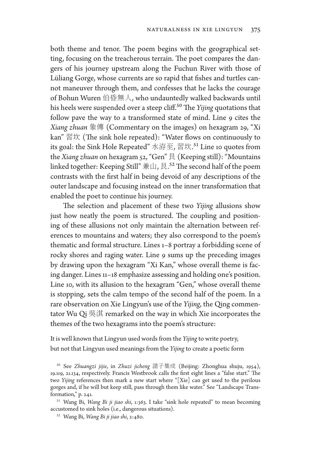both theme and tenor. The poem begins with the geographical setting, focusing on the treacherous terrain. The poet compares the dangers of his journey upstream along the Fuchun River with those of Lüliang Gorge, whose currents are so rapid that fishes and turtles cannot maneuver through them, and confesses that he lacks the courage of Bohun Wuren 伯昏無人, who undauntedly walked backwards until his heels were suspended over a steep cliff.50 The *Yijing* quotations that follow pave the way to a transformed state of mind. Line 9 cites the *Xiang zhuan* 象傳 (Commentary on the images) on hexagram 29, "Xi kan" 習坎 (The sink hole repeated): "Water flows on continuously to its goal: the Sink Hole Repeated" 水游至, 習坎.<sup>51</sup> Line 10 quotes from the *Xiang zhuan* on hexagram 52, "Gen" 艮 (Keeping still): "Mountains linked together: Keeping Still" 兼山, 艮.52 The second half of the poem contrasts with the first half in being devoid of any descriptions of the outer landscape and focusing instead on the inner transformation that enabled the poet to continue his journey.

The selection and placement of these two *Yijing* allusions show just how neatly the poem is structured. The coupling and positioning of these allusions not only maintain the alternation between references to mountains and waters; they also correspond to the poem's thematic and formal structure. Lines 1–8 portray a forbidding scene of rocky shores and raging water. Line 9 sums up the preceding images by drawing upon the hexagram "Xi Kan," whose overall theme is facing danger. Lines 11–18 emphasize assessing and holding one's position. Line 10, with its allusion to the hexagram "Gen," whose overall theme is stopping, sets the calm tempo of the second half of the poem. In a rare observation on Xie Lingyun's use of the *Yijing*, the Qing commentator Wu Qi 吳淇 remarked on the way in which Xie incorporates the themes of the two hexagrams into the poem's structure:

It is well known that Lingyun used words from the *Yijing* to write poetry, but not that Lingyun used meanings from the *Yijing* to create a poetic form

<sup>50</sup> See *Zhuangzi jijie*, in *Zhuzi jicheng* 諸子集成 (Beijing: Zhonghua shuju, 1954), 19.119, 21.134, respectively. Francis Westbrook calls the first eight lines a "false start." The two *Yijing* references then mark a new start where "[Xie] can get used to the perilous gorges and, if he will but keep still, pass through them like water." See "Landscape Transformation," p. 241.

<sup>51</sup> Wang Bi, *Wang Bi ji jiao shi*, 1:363. I take "sink hole repeated" to mean becoming accustomed to sink holes (i.e., dangerous situations). 52 Wang Bi, *Wang Bi ji jiao shi*, 2:480.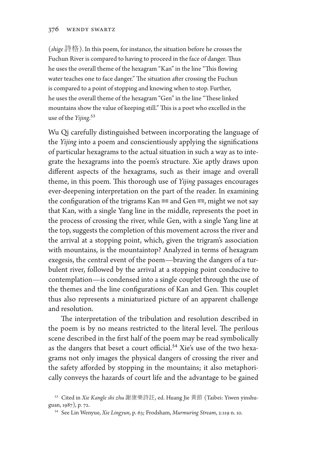(*shige* 詩格). In this poem, for instance, the situation before he crosses the Fuchun River is compared to having to proceed in the face of danger. Thus he uses the overall theme of the hexagram "Kan" in the line "This flowing water teaches one to face danger." The situation after crossing the Fuchun is compared to a point of stopping and knowing when to stop. Further, he uses the overall theme of the hexagram "Gen" in the line "These linked mountains show the value of keeping still." This is a poet who excelled in the use of the *Yijing*.53

Wu Qi carefully distinguished between incorporating the language of the *Yijing* into a poem and conscientiously applying the significations of particular hexagrams to the actual situation in such a way as to integrate the hexagrams into the poem's structure. Xie aptly draws upon different aspects of the hexagrams, such as their image and overall theme, in this poem. This thorough use of *Yijing* passages encourages ever-deepening interpretation on the part of the reader. In examining the configuration of the trigrams Kan  $\equiv$  and Gen  $\equiv$ , might we not say that Kan, with a single Yang line in the middle, represents the poet in the process of crossing the river, while Gen, with a single Yang line at the top, suggests the completion of this movement across the river and the arrival at a stopping point, which, given the trigram's association with mountains, is the mountaintop? Analyzed in terms of hexagram exegesis, the central event of the poem—braving the dangers of a turbulent river, followed by the arrival at a stopping point conducive to contemplation—is condensed into a single couplet through the use of the themes and the line configurations of Kan and Gen. This couplet thus also represents a miniaturized picture of an apparent challenge and resolution.

The interpretation of the tribulation and resolution described in the poem is by no means restricted to the literal level. The perilous scene described in the first half of the poem may be read symbolically as the dangers that beset a court official.<sup>54</sup> Xie's use of the two hexagrams not only images the physical dangers of crossing the river and the safety afforded by stopping in the mountains; it also metaphorically conveys the hazards of court life and the advantage to be gained

<sup>53</sup> Cited in *Xie Kangle shi zhu* 謝康樂詩註, ed. Huang Jie 黃節 (Taibei: Yiwen yinshuguan, 1987), p. 72.

<sup>54</sup> See Lin Wenyue, *Xie Lingyun*, p. 63; Frodsham, *Murmuring Stream*, 2:119 n. 10.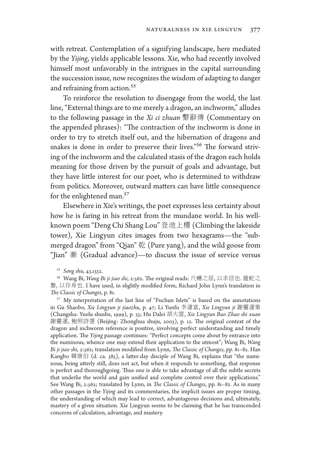with retreat. Contemplation of a signifying landscape, here mediated by the *Yijing*, yields applicable lessons. Xie, who had recently involved himself most unfavorably in the intrigues in the capital surrounding the succession issue, now recognizes the wisdom of adapting to danger and refraining from action.<sup>55</sup>

To reinforce the resolution to disengage from the world, the last line, "External things are to me merely a dragon, an inchworm," alludes to the following passage in the *Xi ci zhuan* 繫辭傳 (Commentary on the appended phrases): "The contraction of the inchworm is done in order to try to stretch itself out, and the hibernation of dragons and snakes is done in order to preserve their lives."56 The forward striving of the inchworm and the calculated stasis of the dragon each holds meaning for those driven by the pursuit of goals and advantage, but they have little interest for our poet, who is determined to withdraw from politics. Moreover, outward matters can have little consequence for the enlightened man.<sup>57</sup>

Elsewhere in Xie's writings, the poet expresses less certainty about how he is faring in his retreat from the mundane world. In his wellknown poem "Deng Chi Shang Lou" 登池上樓 (Climbing the lakeside tower), Xie Lingyun cites images from two hexagrams—the "submerged dragon" from "Qian" 乾 (Pure yang), and the wild goose from "Jian" 漸 (Gradual advance)—to discuss the issue of service versus

<sup>55</sup> *Song shu*, 43.1332.

<sup>56</sup> Wang Bi, *Wang Bi ji jiao shi*, 2:562. The original reads: 尺蠖之屈, 以求信也. 龍蛇之 蟄, 以存身也. I have used, in slightly modified form, Richard John Lynn's translation in *The Classic of Changes*, p. 81.

<sup>57</sup> My interpretation of the last line of "Fuchun Islets" is based on the annotations in Gu Shaobo, *Xie Lingyun ji jiaozhu*, p. 47; Li Yunfu 李運富, *Xie Lingyun ji* 謝靈運集 (Changsha: Yuelu shushe, 1999), p. 33; Hu Dalei 胡大雷, *Xie Lingyun Bao Zhao shi xuan* 謝靈運, 鮑照詩選 (Beijing: Zhonghua shuju, 2005), p. 12. The original context of the dragon and inchworm reference is positive, involving perfect understanding and timely application. The *Yijing* passage continues: "Perfect concepts come about by entrance into the numinous, whence one may extend their application to the utmost"; Wang Bi, *Wang Bi ji jiao shi*, 2:562; translation modified from Lynn, *The Classic of Changes*, pp. 81–82. Han Kangbo 韓康伯 (d. ca. 385), a latter-day disciple of Wang Bi, explains that "the numinous, being utterly still, does not act, but when it responds to something, that response is perfect and thoroughgoing. Thus one is able to take advantage of all the subtle secrets that underlie the world and gain unified and complete control over their applications." See Wang Bi, 2:562; translated by Lynn, in *The Classic of Changes*, pp. 81–82. As in many other passages in the *Yijing* and its commentaries, the implicit issues are proper timing, the understanding of which may lead to correct, advantageous decisions and, ultimately, mastery of a given situation. Xie Lingyun seems to be claiming that he has transcended concerns of calculation, advantage, and mastery.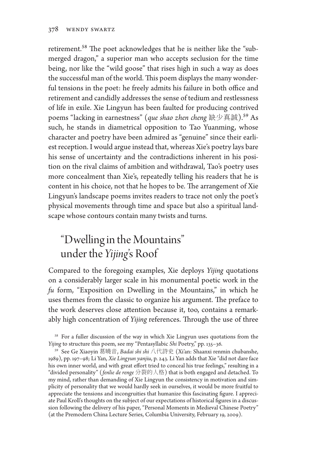retirement.<sup>58</sup> The poet acknowledges that he is neither like the "submerged dragon," a superior man who accepts seclusion for the time being, nor like the "wild goose" that rises high in such a way as does the successful man of the world. This poem displays the many wonderful tensions in the poet: he freely admits his failure in both office and retirement and candidly addresses the sense of tedium and restlessness of life in exile. Xie Lingyun has been faulted for producing contrived poems "lacking in earnestness" (*que shao zhen cheng* 缺少真誠).59 As such, he stands in diametrical opposition to Tao Yuanming, whose character and poetry have been admired as "genuine" since their earliest reception. I would argue instead that, whereas Xie's poetry lays bare his sense of uncertainty and the contradictions inherent in his position on the rival claims of ambition and withdrawal, Tao's poetry uses more concealment than Xie's, repeatedly telling his readers that he is content in his choice, not that he hopes to be. The arrangement of Xie Lingyun's landscape poems invites readers to trace not only the poet's physical movements through time and space but also a spiritual landscape whose contours contain many twists and turns.

### "Dwelling in the Mountains" under the *Yijing*'s Roof

Compared to the foregoing examples, Xie deploys *Yijing* quotations on a considerably larger scale in his monumental poetic work in the *fu* form, "Exposition on Dwelling in the Mountains," in which he uses themes from the classic to organize his argument. The preface to the work deserves close attention because it, too, contains a remarkably high concentration of *Yijing* references. Through the use of three

<sup>&</sup>lt;sup>58</sup> For a fuller discussion of the way in which Xie Lingyun uses quotations from the *Yijing* to structure this poem, see my "Pentasyllabic *Shi* Poetry," pp. 135–36. 59 See Ge Xiaoyin 葛曉音, *Badai shi shi* 八代詩史 (Xi'an: Shaanxi renmin chubanshe,

<sup>1989),</sup> pp. 197–98; Li Yan, *Xie Lingyun yanjiu*, p. 243. Li Yan adds that Xie "did not dare face his own inner world, and with great effort tried to conceal his true feelings," resulting in a "divided personality" (*fenlie de renge* 分裂的人格) that is both engaged and detached. To my mind, rather than demanding of Xie Lingyun the consistency in motivation and simplicity of personality that we would hardly seek in ourselves, it would be more fruitful to appreciate the tensions and incongruities that humanize this fascinating figure. I appreciate Paul Kroll's thoughts on the subject of our expectations of historical figures in a discussion following the delivery of his paper, "Personal Moments in Medieval Chinese Poetry" (at the Premodern China Lecture Series, Columbia University, February 19, 2009).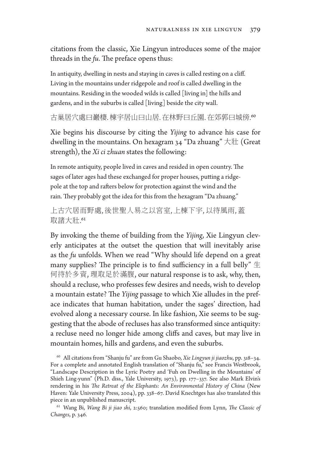citations from the classic, Xie Lingyun introduces some of the major threads in the *fu*. The preface opens thus:

In antiquity, dwelling in nests and staying in caves is called resting on a cliff. Living in the mountains under ridgepole and roof is called dwelling in the mountains. Residing in the wooded wilds is called [living in] the hills and gardens, and in the suburbs is called [living] beside the city wall.

古巢居穴處曰巖棲.棟宇居山曰山居.在林野曰丘園.在郊郭曰城傍.60

Xie begins his discourse by citing the *Yijing* to advance his case for dwelling in the mountains. On hexagram 34 "Da zhuang" 大壯 (Great strength), the *Xi ci zhuan* states the following:

In remote antiquity, people lived in caves and resided in open country. The sages of later ages had these exchanged for proper houses, putting a ridgepole at the top and rafters below for protection against the wind and the rain. They probably got the idea for this from the hexagram "Da zhuang."

上古穴居而野處, 後世聖人易之以宮室, 上棟下宇, 以待風雨, 蓋 取諸大壯.61

By invoking the theme of building from the *Yijing*, Xie Lingyun cleverly anticipates at the outset the question that will inevitably arise as the *fu* unfolds. When we read "Why should life depend on a great many supplies? The principle is to find sufficiency in a full belly"  $\pm$ 何待於多資, 理取足於滿腹, our natural response is to ask, why, then, should a recluse, who professes few desires and needs, wish to develop a mountain estate? The *Yijing* passage to which Xie alludes in the preface indicates that human habitation, under the sages' direction, had evolved along a necessary course. In like fashion, Xie seems to be suggesting that the abode of recluses has also transformed since antiquity: a recluse need no longer hide among cliffs and caves, but may live in mountain homes, hills and gardens, and even the suburbs.

<sup>60</sup> All citations from "Shanju fu" are from Gu Shaobo, *Xie Lingyun ji jiaozhu*, pp. 318–34. For a complete and annotated English translation of "Shanju fu," see Francis Westbrook, "Landscape Description in the Lyric Poetry and 'Fuh on Dwelling in the Mountains' of Shieh Ling-yunn" (Ph.D. diss., Yale University, 1973), pp. 177–337. See also Mark Elvin's rendering in his *The Retreat of the Elephants: An Environmental History of China* (New Haven: Yale University Press, 2004), pp. 338–67. David Knechtges has also translated this piece in an unpublished manuscript. 61 Wang Bi, *Wang Bi ji jiao shi*, 2:560; translation modified from Lynn, *The Classic of* 

*Changes*, p. 346.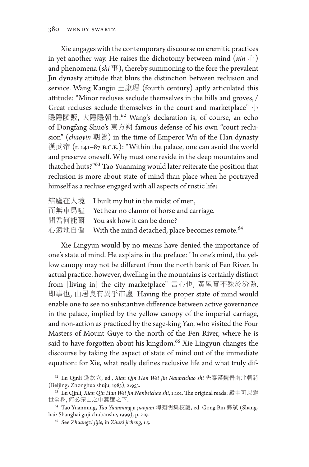Xie engages with the contemporary discourse on eremitic practices in yet another way. He raises the dichotomy between mind (*xin* 心) and phenomena (*shi* 事), thereby summoning to the fore the prevalent Jin dynasty attitude that blurs the distinction between reclusion and service. Wang Kangju 王康琚 (fourth century) aptly articulated this attitude: "Minor recluses seclude themselves in the hills and groves, / Great recluses seclude themselves in the court and marketplace"  $\sqrt{ }$ 隱隱陵藪, 大隱隱朝市.<sup>62</sup> Wang's declaration is, of course, an echo of Dongfang Shuo's 東方朔 famous defense of his own "court reclusion" (*chaoyin* 朝隱) in the time of Emperor Wu of the Han dynasty 漢武帝 (r. 141-87 B.C.E.): "Within the palace, one can avoid the world and preserve oneself. Why must one reside in the deep mountains and thatched huts?"63 Tao Yuanming would later reiterate the position that reclusion is more about state of mind than place when he portrayed himself as a recluse engaged with all aspects of rustic life:

結廬在人境 I built my hut in the midst of men, 而無車馬喧 Yet hear no clamor of horse and carriage. 問君何能爾 You ask how it can be done? 心遠地自偏 With the mind detached, place becomes remote.<sup>64</sup>

Xie Lingyun would by no means have denied the importance of one's state of mind. He explains in the preface: "In one's mind, the yellow canopy may not be different from the north bank of Fen River. In actual practice, however, dwelling in the mountains is certainly distinct from [living in] the city marketplace" 言心也, 黃屋實不殊於汾陽. 即事也, 山居良有異乎市廛. Having the proper state of mind would enable one to see no substantive difference between active governance in the palace, implied by the yellow canopy of the imperial carriage, and non-action as practiced by the sage-king Yao, who visited the Four Masters of Mount Guye to the north of the Fen River, where he is said to have forgotten about his kingdom.<sup>65</sup> Xie Lingyun changes the discourse by taking the aspect of state of mind out of the immediate equation: for Xie, what really defines reclusive life and what truly dif-

<sup>65</sup> See *Zhuangzi jijie*, in *Zhuzi jicheng*, 1.5.

<sup>62</sup> Lu Qinli 逯欽立, ed., *Xian Qin Han Wei Jin Nanbeichao shi* 先秦漢魏晉南北朝詩 (Beijing: Zhonghua shuju, 1983), 2:953.

<sup>63</sup> Lu Qinli, *Xian Qin Han Wei Jin Nanbeichao shi*, 1:101. The original reads: 殿中可以避 世全身, 何必深山之中蒿廬之下.

<sup>64</sup> Tao Yuanming, *Tao Yuanming ji jiaojian* 陶淵明集校箋, ed. Gong Bin 龔斌 (Shanghai: Shanghai guji chubanshe, 1999), p. 219.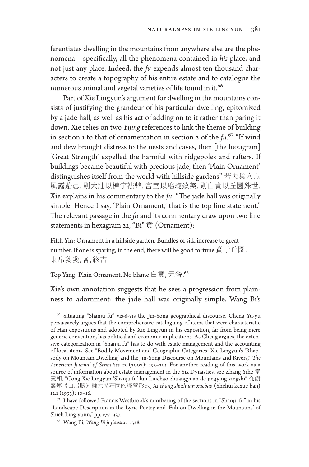ferentiates dwelling in the mountains from anywhere else are the phenomena—specifically, all the phenomena contained in *his* place, and not just any place. Indeed, the *fu* expends almost ten thousand characters to create a topography of his entire estate and to catalogue the numerous animal and vegetal varieties of life found in it.<sup>66</sup>

Part of Xie Lingyun's argument for dwelling in the mountains consists of justifying the grandeur of his particular dwelling, epitomized by a jade hall, as well as his act of adding on to it rather than paring it down. Xie relies on two *Yijing* references to link the theme of building in section 1 to that of ornamentation in section 2 of the *fu*.<sup>67</sup> "If wind and dew brought distress to the nests and caves, then [the hexagram] 'Great Strength' expelled the harmful with ridgepoles and rafters. If buildings became beautiful with precious jade, then 'Plain Ornament' distinguishes itself from the world with hillside gardens" 若夫巢穴以 風露貽患. 則大壯以棟宇袪弊. 宮室以瑤琁致美. 則白賁以丘園殊世. Xie explains in his commentary to the *fu*: "The jade hall was originally simple. Hence I say, 'Plain Ornament,' that is the top line statement." The relevant passage in the *fu* and its commentary draw upon two line statements in hexagram 22, "Bi" 賁 (Ornament):

Fifth Yin: Ornament in a hillside garden. Bundles of silk increase to great number. If one is sparing, in the end, there will be good fortune 賁于丘園, 束帛戔戔,吝,終吉.

Top Yang: Plain Ornament. No blame 白賁, 无咎.68

Xie's own annotation suggests that he sees a progression from plainness to adornment: the jade hall was originally simple. Wang Bi's

<sup>66</sup> Situating "Shanju fu" vis-à-vis the Jin-Song geographical discourse, Cheng Yü-yü persuasively argues that the comprehensive cataloguing of items that were characteristic of Han expositions and adopted by Xie Lingyun in his exposition, far from being mere generic convention, has political and economic implications. As Cheng argues, the extensive categorization in "Shanju fu" has to do with estate management and the accounting of local items. See "Bodily Movement and Geographic Categories: Xie Lingyun's 'Rhapsody on Mountain Dwelling' and the Jin-Song Discourse on Mountains and Rivers," *The American Journal of Semiotics* 23 (2007): 193–219. For another reading of this work as a source of information about estate management in the Six Dynasties, see Zhang Yihe 章 義和, "Cong Xie Lingyun 'Shanju fu' lun Liuchao zhuangyuan de jingying xingshi" 從謝 靈運《山居賦》論六朝莊園的經營形式, *Xuchang shizhuan xuebao* (Shehui kexue ban) 12.1 (1993): 10–16.

<sup>67</sup> I have followed Francis Westbrook's numbering of the sections in "Shanju fu" in his "Landscape Description in the Lyric Poetry and 'Fuh on Dwelling in the Mountains' of Shieh Ling-yunn," pp. 177–337. 68 Wang Bi, *Wang Bi ji jiaoshi*, 1:328.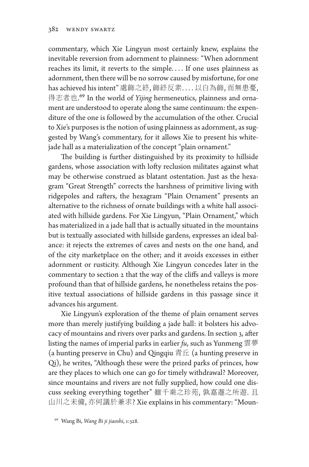commentary, which Xie Lingyun most certainly knew, explains the inevitable reversion from adornment to plainness: "When adornment reaches its limit, it reverts to the simple. . . . If one uses plainness as adornment, then there will be no sorrow caused by misfortune, for one has achieved his intent" 處飾之終, 飾終反素. . . . 以白為飾, 而無患憂, 得志者也.69 In the world of *Yijing* hermeneutics, plainness and ornament are understood to operate along the same continuum: the expenditure of the one is followed by the accumulation of the other. Crucial to Xie's purposes is the notion of using plainness as adornment, as suggested by Wang's commentary, for it allows Xie to present his whitejade hall as a materialization of the concept "plain ornament."

The building is further distinguished by its proximity to hillside gardens, whose association with lofty reclusion militates against what may be otherwise construed as blatant ostentation. Just as the hexagram "Great Strength" corrects the harshness of primitive living with ridgepoles and rafters, the hexagram "Plain Ornament" presents an alternative to the richness of ornate buildings with a white hall associated with hillside gardens. For Xie Lingyun, "Plain Ornament," which has materialized in a jade hall that is actually situated in the mountains but is textually associated with hillside gardens, expresses an ideal balance: it rejects the extremes of caves and nests on the one hand, and of the city marketplace on the other; and it avoids excesses in either adornment or rusticity. Although Xie Lingyun concedes later in the commentary to section 2 that the way of the cliffs and valleys is more profound than that of hillside gardens, he nonetheless retains the positive textual associations of hillside gardens in this passage since it advances his argument.

Xie Lingyun's exploration of the theme of plain ornament serves more than merely justifying building a jade hall: it bolsters his advocacy of mountains and rivers over parks and gardens. In section 3, after listing the names of imperial parks in earlier *fu*, such as Yunmeng 雲夢 (a hunting preserve in Chu) and Qingqiu 青丘 (a hunting preserve in Qi), he writes, "Although these were the prized parks of princes, how are they places to which one can go for timely withdrawal? Moreover, since mountains and rivers are not fully supplied, how could one discuss seeking everything together" 雖千乘之珍苑, 孰嘉遯之所遊. 且 山川之未備, 亦何議於兼求? Xie explains in his commentary: "Moun-

<sup>69</sup> Wang Bi, *Wang Bi ji jiaoshi*, 1:328.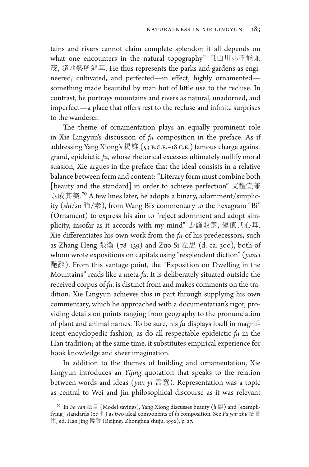tains and rivers cannot claim complete splendor; it all depends on what one encounters in the natural topography" 且山川亦不能兼 茂, 隨地勢所遇耳. He thus represents the parks and gardens as engineered, cultivated, and perfected—in effect, highly ornamented something made beautiful by man but of little use to the recluse. In contrast, he portrays mountains and rivers as natural, unadorned, and imperfect—a place that offers rest to the recluse and infinite surprises to the wanderer.

The theme of ornamentation plays an equally prominent role in Xie Lingyun's discussion of *fu* composition in the preface. As if addressing Yang Xiong's 揚雄 (53 B.C.E.–18 C.E.) famous charge against grand, epideictic *fu*, whose rhetorical excesses ultimately nullify moral suasion, Xie argues in the preface that the ideal consists in a relative balance between form and content: "Literary form must combine both [beauty and the standard] in order to achieve perfection" 文體宜兼 以成其美.70 A few lines later, he adopts a binary, adornment/simplicity (*shi*/*su* 飾/素), from Wang Bi's commentary to the hexagram "Bi" (Ornament) to express his aim to "reject adornment and adopt simplicity, insofar as it accords with my mind" 去飾取素, 儻值其心耳. Xie differentiates his own work from the *fu* of his predecessors, such as Zhang Heng 張衡  $(78-139)$  and Zuo Si 左思 (d. ca. 300), both of whom wrote expositions on capitals using "resplendent diction" (*yanci* 艷辭). From this vantage point, the "Exposition on Dwelling in the Mountains" reads like a meta-*fu*. It is deliberately situated outside the received corpus of *fu*, is distinct from and makes comments on the tradition. Xie Lingyun achieves this in part through supplying his own commentary, which he approached with a documentarian's rigor, providing details on points ranging from geography to the pronunciation of plant and animal names. To be sure, his *fu* displays itself in magnificent encyclopedic fashion, as do all respectable epideictic *fu* in the Han tradition; at the same time, it substitutes empirical experience for book knowledge and sheer imagination.

In addition to the themes of building and ornamentation, Xie Lingyun introduces an *Yijing* quotation that speaks to the relation between words and ideas (*yan yi* 言意). Representation was a topic as central to Wei and Jin philosophical discourse as it was relevant

<sup>70</sup> In *Fa yan* 法言 (Model sayings), Yang Xiong discusses beauty (*li* 麗) and [exemplifying] standards (*ze* 則) as two ideal components of *fu* composition. See *Fa yan zhu* 法言 注, ed. Han Jing 韓敬 (Beijing: Zhonghua shuju, 1992), p. 27.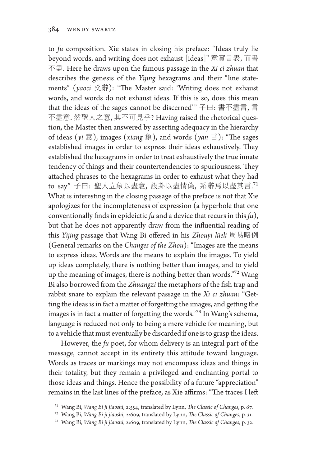to *fu* composition. Xie states in closing his preface: "Ideas truly lie beyond words, and writing does not exhaust [ideas]" 意實言表, 而書 不盡. Here he draws upon the famous passage in the *Xi ci zhuan* that describes the genesis of the *Yijing* hexagrams and their "line statements" (*yaoci* 爻辭): "The Master said: 'Writing does not exhaust words, and words do not exhaust ideas. If this is so, does this mean that the ideas of the sages cannot be discerned'" 子曰: 書不盡言, 言 不盡意. 然聖人之意, 其不可見乎? Having raised the rhetorical question, the Master then answered by asserting adequacy in the hierarchy of ideas (*yi* 意), images (*xiang* 象), and words (*yan* 言): "The sages established images in order to express their ideas exhaustively. They established the hexagrams in order to treat exhaustively the true innate tendency of things and their countertendencies to spuriousness. They attached phrases to the hexagrams in order to exhaust what they had to say" 子曰: 聖人立象以盡意, 設卦以盡情偽, 系辭焉以盡其言.71 What is interesting in the closing passage of the preface is not that Xie apologizes for the incompleteness of expression (a hyperbole that one conventionally finds in epideictic  $fu$  and a device that recurs in this  $fu$ ), but that he does not apparently draw from the influential reading of this *Yijing* passage that Wang Bi offered in his *Zhouyi lüeli* 周易略例 (General remarks on the *Changes of the Zhou*): "Images are the means to express ideas. Words are the means to explain the images. To yield up ideas completely, there is nothing better than images, and to yield up the meaning of images, there is nothing better than words."<sup>72</sup> Wang Bi also borrowed from the *Zhuangzi* the metaphors of the fish trap and rabbit snare to explain the relevant passage in the *Xi ci zhuan*: "Getting the ideas is in fact a matter of forgetting the images, and getting the images is in fact a matter of forgetting the words."73 In Wang's schema, language is reduced not only to being a mere vehicle for meaning, but to a vehicle that must eventually be discarded if one is to grasp the ideas.

However, the *fu* poet, for whom delivery is an integral part of the message, cannot accept in its entirety this attitude toward language. Words as traces or markings may not encompass ideas and things in their totality, but they remain a privileged and enchanting portal to those ideas and things. Hence the possibility of a future "appreciation" remains in the last lines of the preface, as Xie affirms: "The traces I left

<sup>71</sup> Wang Bi, *Wang Bi ji jiaoshi*, 2:554, translated by Lynn, *The Classic of Changes*, p. 67.

<sup>72</sup> Wang Bi, *Wang Bi ji jiaoshi*, 2:609, translated by Lynn, *The Classic of Changes*, p. 31.

<sup>73</sup> Wang Bi, *Wang Bi ji jiaoshi*, 2:609, translated by Lynn, *The Classic of Changes*, p. 32.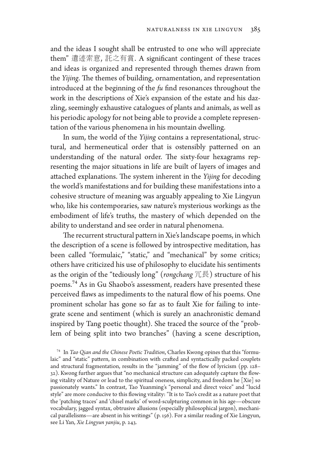and the ideas I sought shall be entrusted to one who will appreciate them" 遺迹索意, 託之有賞. A significant contingent of these traces and ideas is organized and represented through themes drawn from the *Yijing*. The themes of building, ornamentation, and representation introduced at the beginning of the *fu* find resonances throughout the work in the descriptions of Xie's expansion of the estate and his dazzling, seemingly exhaustive catalogues of plants and animals, as well as his periodic apology for not being able to provide a complete representation of the various phenomena in his mountain dwelling.

In sum, the world of the *Yijing* contains a representational, structural, and hermeneutical order that is ostensibly patterned on an understanding of the natural order. The sixty-four hexagrams representing the major situations in life are built of layers of images and attached explanations. The system inherent in the *Yijing* for decoding the world's manifestations and for building these manifestations into a cohesive structure of meaning was arguably appealing to Xie Lingyun who, like his contemporaries, saw nature's mysterious workings as the embodiment of life's truths, the mastery of which depended on the ability to understand and see order in natural phenomena.

The recurrent structural pattern in Xie's landscape poems, in which the description of a scene is followed by introspective meditation, has been called "formulaic," "static," and "mechanical" by some critics; others have criticized his use of philosophy to elucidate his sentiments as the origin of the "tediously long" (*rongchang* 冗長) structure of his poems.74 As in Gu Shaobo's assessment, readers have presented these perceived flaws as impediments to the natural flow of his poems. One prominent scholar has gone so far as to fault Xie for failing to integrate scene and sentiment (which is surely an anachronistic demand inspired by Tang poetic thought). She traced the source of the "problem of being split into two branches" (having a scene description,

<sup>74</sup> In *Tao Qian and the Chinese Poetic Tradition*, Charles Kwong opines that this "formulaic" and "static" pattern, in combination with crafted and syntactically packed couplets and structural fragmentation, results in the "jamming" of the flow of lyricism (pp. 128– 32). Kwong further argues that "no mechanical structure can adequately capture the flowing vitality of Nature or lead to the spiritual oneness, simplicity, and freedom he [Xie] so passionately wants." In contrast, Tao Yuanming's "personal and direct voice" and "lucid style" are more conducive to this flowing vitality: "It is to Tao's credit as a nature poet that the 'patching traces' and 'chisel marks' of word-sculpturing common in his age—obscure vocabulary, jagged syntax, obtrusive allusions (especially philosophical jargon), mechanical parallelisms—are absent in his writings" (p. 156). For a similar reading of Xie Lingyun, see Li Yan, *Xie Lingyun yanjiu*, p. 243.